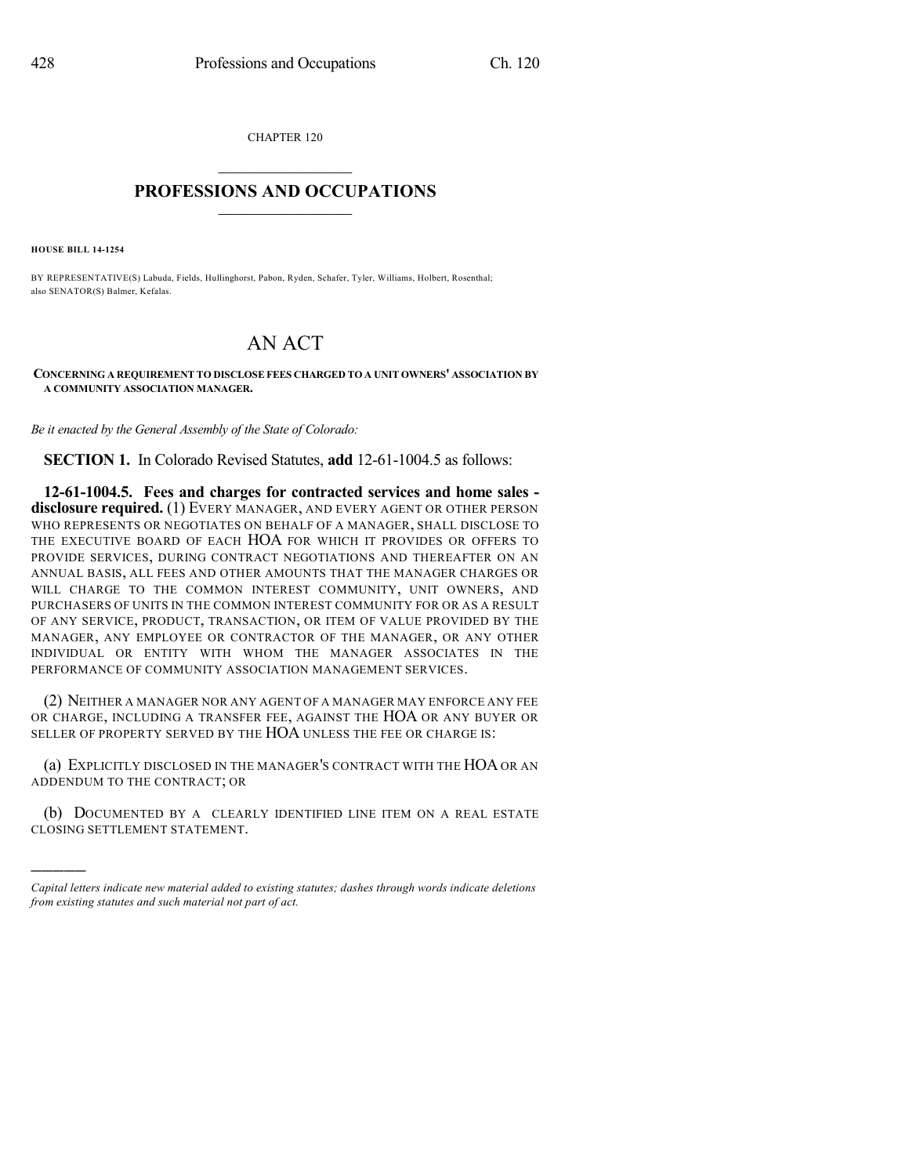CHAPTER 120

## $\overline{\phantom{a}}$  . The set of the set of the set of the set of the set of the set of the set of the set of the set of the set of the set of the set of the set of the set of the set of the set of the set of the set of the set o **PROFESSIONS AND OCCUPATIONS**  $\frac{1}{2}$  ,  $\frac{1}{2}$  ,  $\frac{1}{2}$  ,  $\frac{1}{2}$  ,  $\frac{1}{2}$  ,  $\frac{1}{2}$  ,  $\frac{1}{2}$

**HOUSE BILL 14-1254**

)))))

BY REPRESENTATIVE(S) Labuda, Fields, Hullinghorst, Pabon, Ryden, Schafer, Tyler, Williams, Holbert, Rosenthal; also SENATOR(S) Balmer, Kefalas.

## AN ACT

**CONCERNING A REQUIREMENT TO DISCLOSE FEES CHARGED TO A UNIT OWNERS' ASSOCIATION BY A COMMUNITY ASSOCIATION MANAGER.**

*Be it enacted by the General Assembly of the State of Colorado:*

**SECTION 1.** In Colorado Revised Statutes, **add** 12-61-1004.5 as follows:

**12-61-1004.5. Fees and charges for contracted services and home sales disclosure required.** (1) EVERY MANAGER, AND EVERY AGENT OR OTHER PERSON WHO REPRESENTS OR NEGOTIATES ON BEHALF OF A MANAGER, SHALL DISCLOSE TO THE EXECUTIVE BOARD OF EACH HOA FOR WHICH IT PROVIDES OR OFFERS TO PROVIDE SERVICES, DURING CONTRACT NEGOTIATIONS AND THEREAFTER ON AN ANNUAL BASIS, ALL FEES AND OTHER AMOUNTS THAT THE MANAGER CHARGES OR WILL CHARGE TO THE COMMON INTEREST COMMUNITY, UNIT OWNERS, AND PURCHASERS OF UNITS IN THE COMMON INTEREST COMMUNITY FOR OR AS A RESULT OF ANY SERVICE, PRODUCT, TRANSACTION, OR ITEM OF VALUE PROVIDED BY THE MANAGER, ANY EMPLOYEE OR CONTRACTOR OF THE MANAGER, OR ANY OTHER INDIVIDUAL OR ENTITY WITH WHOM THE MANAGER ASSOCIATES IN THE PERFORMANCE OF COMMUNITY ASSOCIATION MANAGEMENT SERVICES.

(2) NEITHER A MANAGER NOR ANY AGENT OF A MANAGER MAY ENFORCE ANY FEE OR CHARGE, INCLUDING A TRANSFER FEE, AGAINST THE HOA OR ANY BUYER OR SELLER OF PROPERTY SERVED BY THE HOA UNLESS THE FEE OR CHARGE IS:

(a) EXPLICITLY DISCLOSED IN THE MANAGER'S CONTRACT WITH THE HOAOR AN ADDENDUM TO THE CONTRACT; OR

(b) DOCUMENTED BY A CLEARLY IDENTIFIED LINE ITEM ON A REAL ESTATE CLOSING SETTLEMENT STATEMENT.

*Capital letters indicate new material added to existing statutes; dashes through words indicate deletions from existing statutes and such material not part of act.*